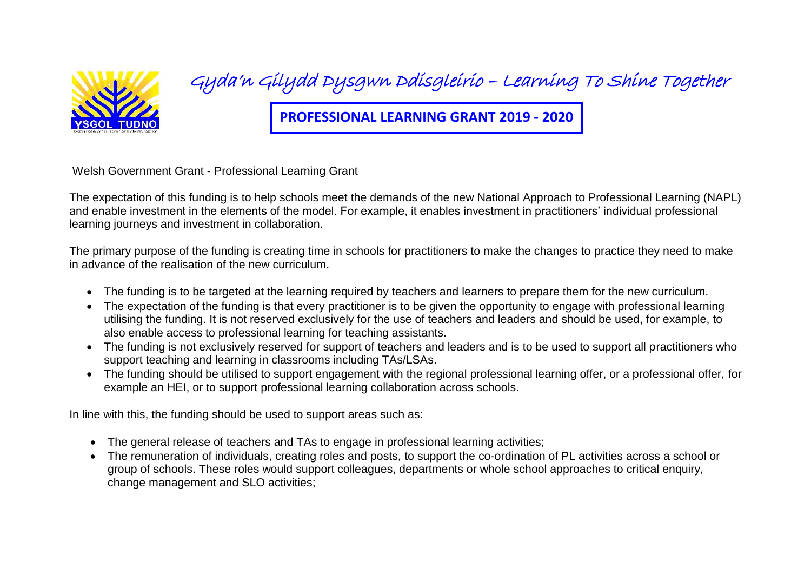

## Gyda'n Gilydd Dysgwn Ddisgleirio – Learning To Shine Together

**PROFESSIONAL LEARNING GRANT 2019 - 2020**

Welsh Government Grant - Professional Learning Grant

The expectation of this funding is to help schools meet the demands of the new National Approach to Professional Learning (NAPL) and enable investment in the elements of the model. For example, it enables investment in practitioners' individual professional learning journeys and investment in collaboration.

The primary purpose of the funding is creating time in schools for practitioners to make the changes to practice they need to make in advance of the realisation of the new curriculum.

- The funding is to be targeted at the learning required by teachers and learners to prepare them for the new curriculum.
- The expectation of the funding is that every practitioner is to be given the opportunity to engage with professional learning utilising the funding. It is not reserved exclusively for the use of teachers and leaders and should be used, for example, to also enable access to professional learning for teaching assistants.
- The funding is not exclusively reserved for support of teachers and leaders and is to be used to support all practitioners who support teaching and learning in classrooms including TAs/LSAs.
- The funding should be utilised to support engagement with the regional professional learning offer, or a professional offer, for example an HEI, or to support professional learning collaboration across schools.

In line with this, the funding should be used to support areas such as:

- The general release of teachers and TAs to engage in professional learning activities;
- The remuneration of individuals, creating roles and posts, to support the co-ordination of PL activities across a school or group of schools. These roles would support colleagues, departments or whole school approaches to critical enquiry, change management and SLO activities;